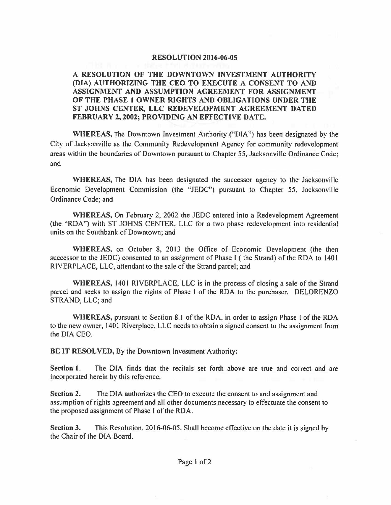## **RESOLUTION 2016-06-05**

## **A RESOLUTION OF THE DOWNTOWN INVESTMENT AUTHORITY (DIA) AUTHORIZING THE CEO TO EXECUTE A CONSENT TO AND ASSIGNMENT AND ASSUMPTION AGREEMENT FOR ASSIGNMENT OF THE PHASE 1 OWNER RIGHTS AND OBLIGATIONS UNDER THE ST JOHNS CENTER, LLC REDEVELOPMENT AGREEMENT DATED FEBRUARY 2, 2002; PROVIDING AN EFFECTIVE DATE.**

**WHEREAS,** The Downtown Investment Authority ("DIA") has been designated by the City of Jacksonville as the Community Redevelopment Agency for community redevelopment areas within the boundaries of Downtown pursuant lo Chapter *55,* Jacksonville Ordinance Code; and

**WHEREAS,** The DIA has been designated the successor agency to the Jacksonville Economic Development Commission (the "JEDC") pursuant to Chapter 55, Jacksonville Ordinance Code; and

**WHEREAS,** On February 2, 2002 the JEDC entered into a Redevelopment Agreement (the "RDA") with ST JOHNS CENTER, LLC for a two phase redevelopment into residential units on the Southbank of Downtown; and

**WHEREAS,** on October 8, 2013 the Office of Economic Development (the then successor to the JEDC) consented to an assignment of Phase I ( the Strand) of the RDA to 1401 RIVERPLACE, LLC, attendant to the sale of the Strand parcel; and

**WHEREAS,** 1401 RIVERPLACE, LLC is in the process of closing a sale of the Strand parcel and seeks to assign the rights of Phase I of the RDA to the purchaser, DELORENZO STRAND, LLC; and

**WHEREAS,** pursuant to Section **8.1** of the RDA, in order to assign Phase I of the RDA to the new owner, 1401 Riverplace, LLC needs to obtain a signed consent to the assignment from the DIA CEO.

**BE IT RESOLVED,** By the Downtown Investment Authority:

**Section 1.** The DIA finds that the recitals set forth above are true and correct and are incorporated herein by this reference.

**Section 2.** The DIA authorizes the CEO to execute the consent to and assignment and assumption of rights agreement and all other documents necessary to effectuate the consent to the proposed assignment of Phase I of the RDA.

**Section 3.** This Resolution, 2016-06-05, Shall become effective on the date it is signed by the Chair of the DIA Board.